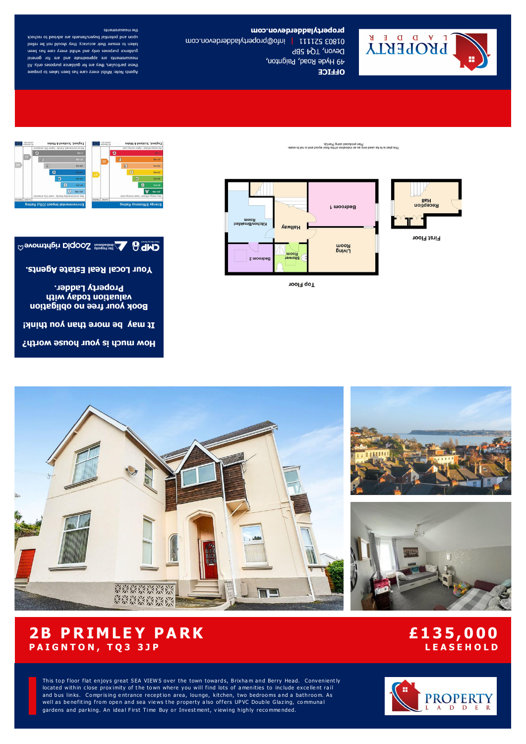

# propertyladotavon.com

01803 52111 | info@propertyladderdevon.com Devon, TQ4 5BP 49 Hyde Road, Paignton, **OLLICE** 

# the measurements

upon and potential buyers/tenants are advised to recheck taken to ensure their accuracy, they should not be relied guidance purposes only and whilst every care has been measurements are approximate and are for general these particulars, they are for guidance purposes only. All Agents Note: Whilst every care has been taken to prepare

















**Top Floor** 



How much is your house worth?

**CAP & Contention Diddoo South Holtmove** 



# **2B PRIMLEY PARK PAIGNTON, TQ3 3JP**

# £135,000 **LEASEHOLD**

This top floor flat enjoys great SEA VIEWS over the town towards, Brixham and Berry Head. Conveniently located within close proximity of the town where you will find lots of amenities to include excellent rail and bus links. Comprising entrance reception area, lounge, kitchen, two bedrooms and a bathroom. As well as benefiting from open and sea views the property also offers UPVC Double Glazing, communal gardens and parking. An ideal First Time Buy or Investment, viewing highly recommended.